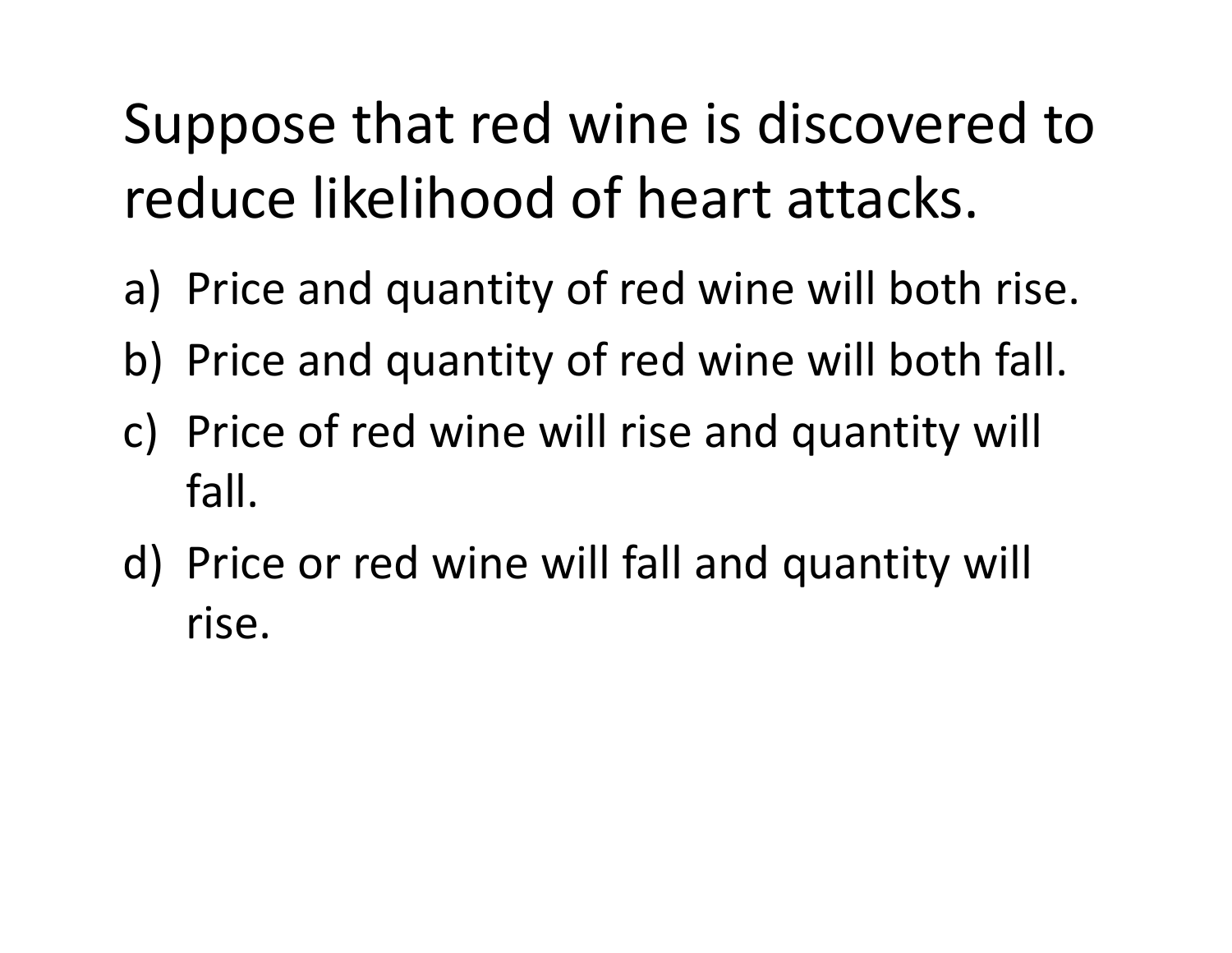## Suppose that red wine is discovered to reduce likelihood of heart attacks.

- a) Price and quantity of red wine will both rise.
- b) Price and quantity of red wine will both fall.
- c) Price of red wine will rise and quantity will fall.
- d) Price or red wine will fall and quantity will rise.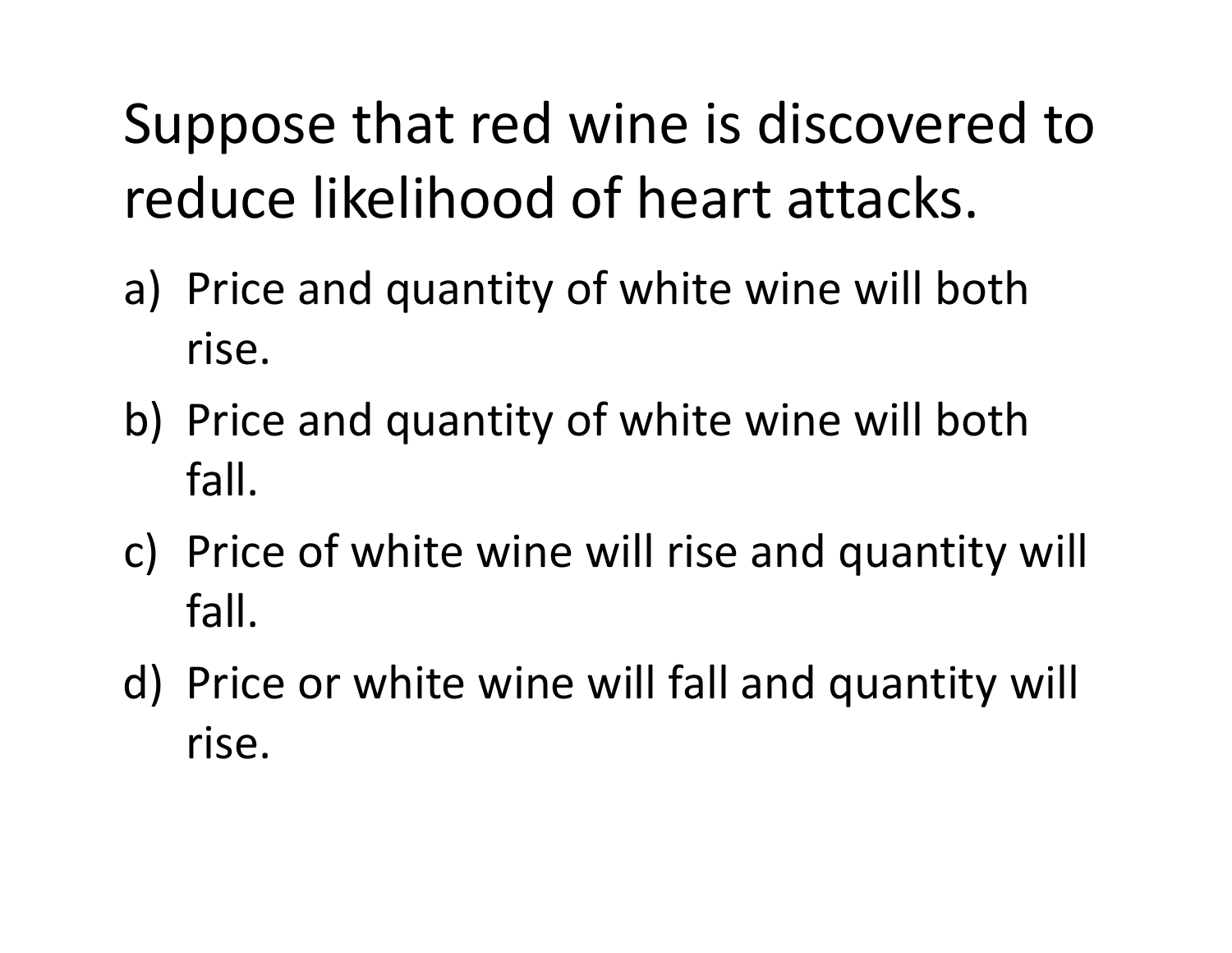## Suppose that red wine is discovered to reduce likelihood of heart attacks.

- a) Price and quantity of white wine will both rise.
- b) Price and quantity of white wine will both fall.
- c) Price of white wine will rise and quantity will fall.
- d) Price or white wine will fall and quantity will rise.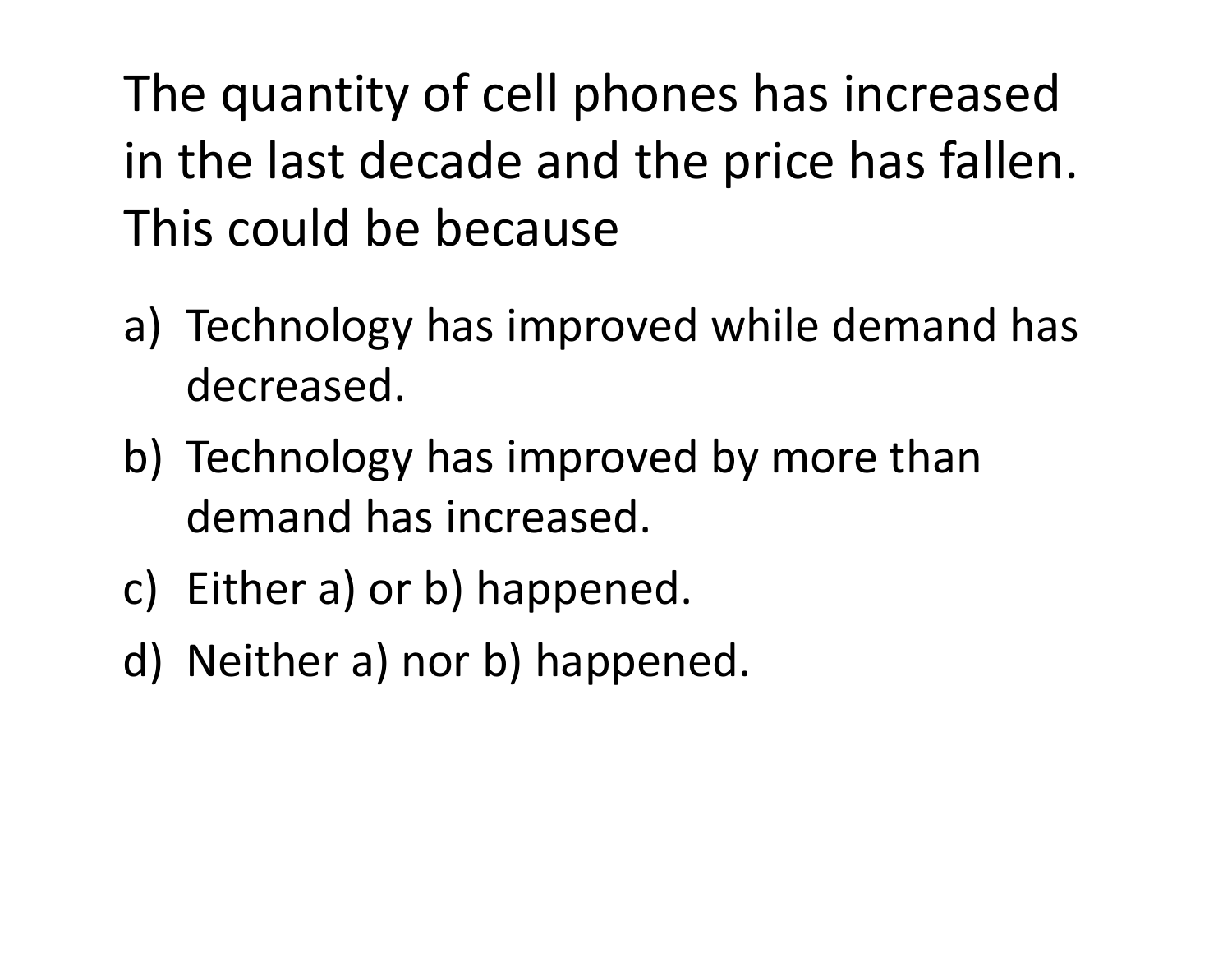The quantity of cell phones has increased in the last decade and the price has fallen. This could be because

- a) Technology has improved while demand has decreased.
- b) Technology has improved by more than demand has increased.
- c) Either a) or b) happened.
- d) Neither a) nor b) happened.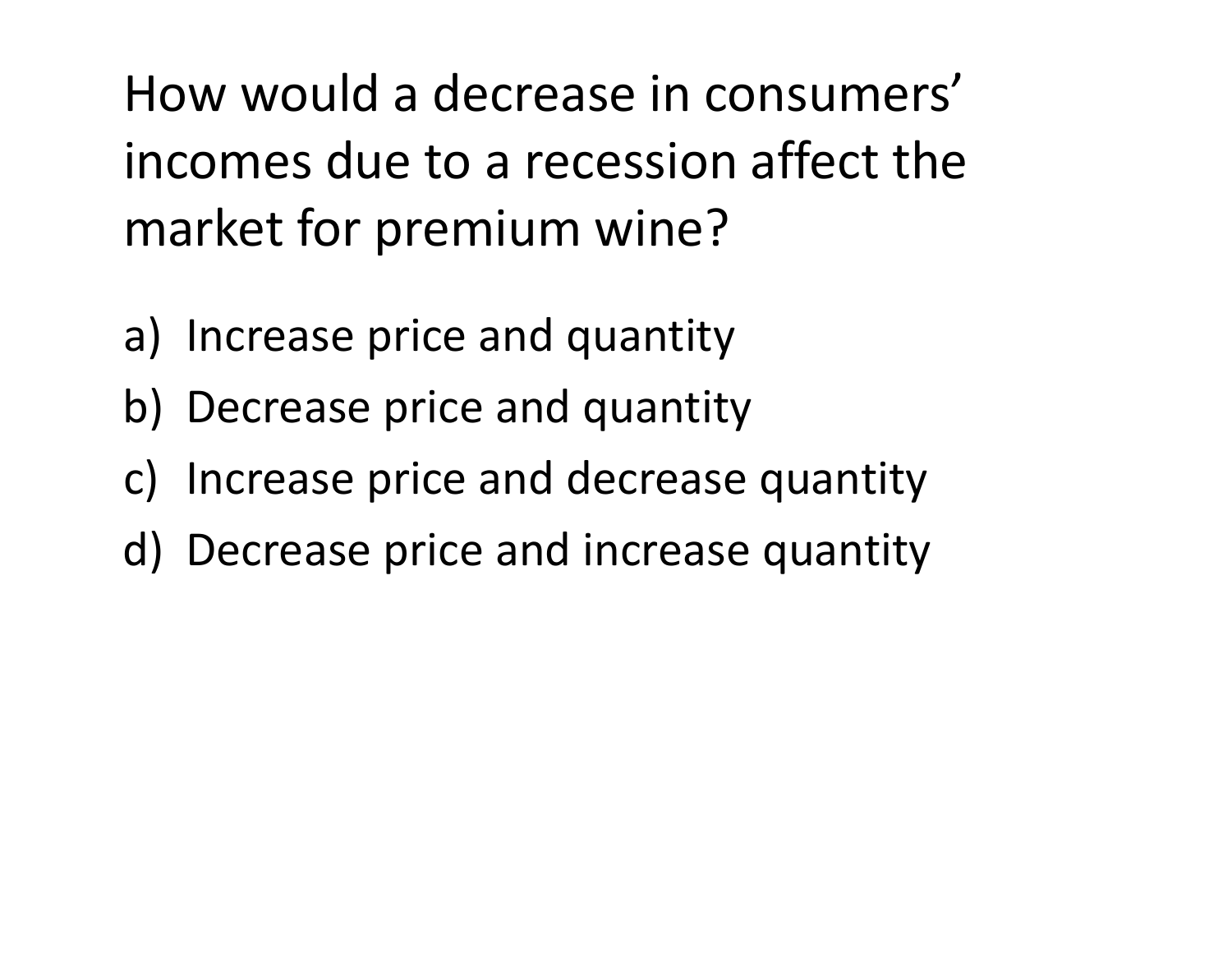How would <sup>a</sup> decrease in consumers' incomes due to <sup>a</sup> recession affect the market for premium wine?

- a) Increase price and quantity
- b) Decrease price and quantity
- c) Increase price and decrease quantity
- d) Decrease price and increase quantity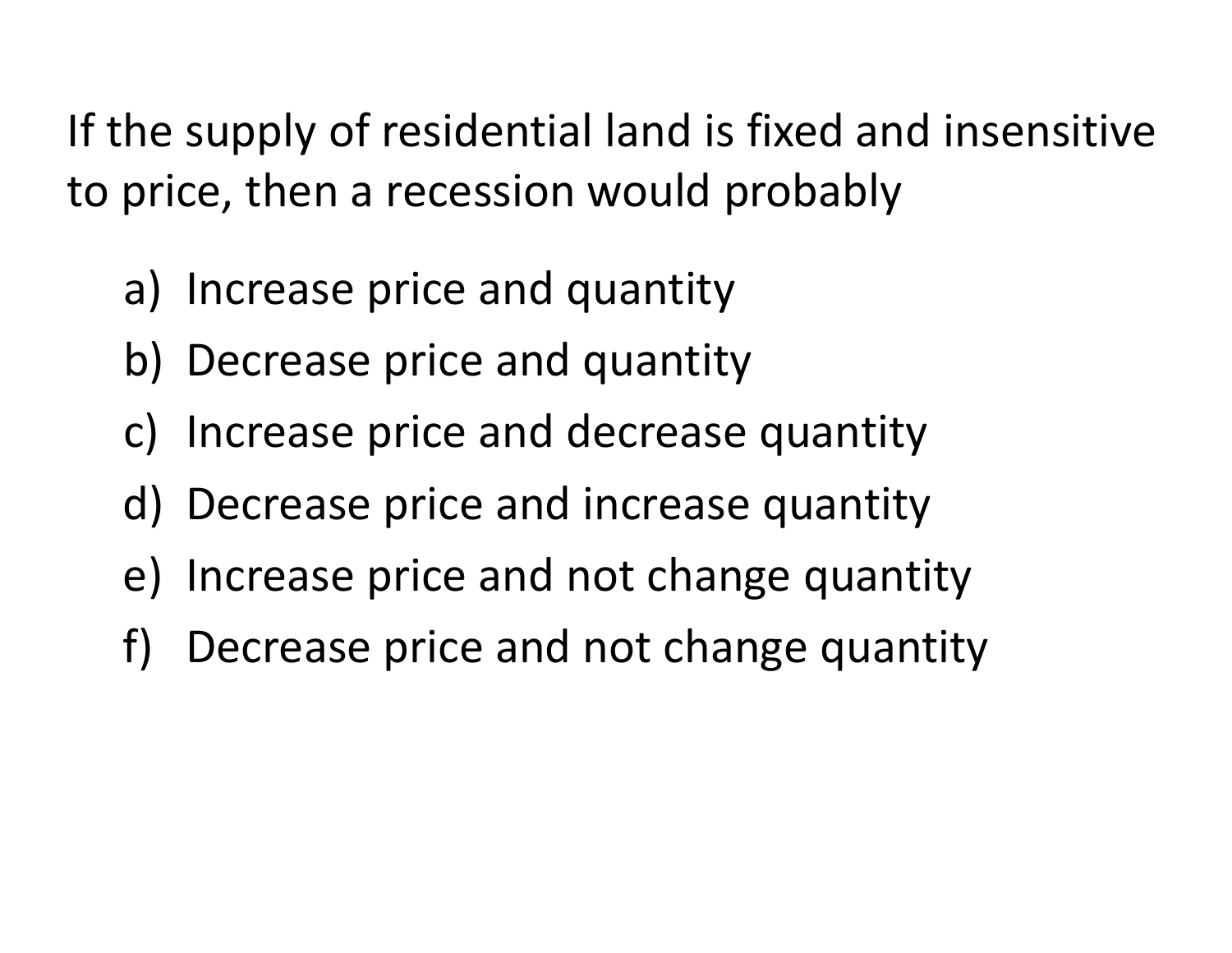If the supply of residential land is fixed and insensitive to price, then <sup>a</sup> recession would probably

- a) Increase price and quantity
- b) Decrease price and quantity
- c) Increase price and decrease quantity
- d) Decrease price and increase quantity
- e) Increase price and not change quantity
- f) Decrease price and not change quantity